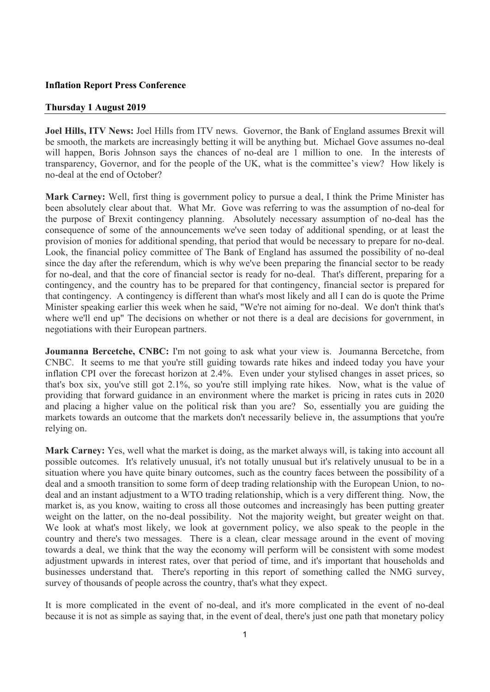### **Inflation Report Press Conference**

#### **Thursday 1 August 2019**

**Joel Hills, ITV News:** Joel Hills from ITV news. Governor, the Bank of England assumes Brexit will be smooth, the markets are increasingly betting it will be anything but. Michael Gove assumes no-deal will happen, Boris Johnson says the chances of no-deal are 1 million to one. In the interests of transparency, Governor, and for the people of the UK, what is the committee's view? How likely is no-deal at the end of October?

**Mark Carney:** Well, first thing is government policy to pursue a deal, I think the Prime Minister has been absolutely clear about that. What Mr. Gove was referring to was the assumption of no-deal for the purpose of Brexit contingency planning. Absolutely necessary assumption of no-deal has the consequence of some of the announcements we've seen today of additional spending, or at least the provision of monies for additional spending, that period that would be necessary to prepare for no-deal. Look, the financial policy committee of The Bank of England has assumed the possibility of no-deal since the day after the referendum, which is why we've been preparing the financial sector to be ready for no-deal, and that the core of financial sector is ready for no-deal. That's different, preparing for a contingency, and the country has to be prepared for that contingency, financial sector is prepared for that contingency. A contingency is different than what's most likely and all I can do is quote the Prime Minister speaking earlier this week when he said, "We're not aiming for no-deal. We don't think that's where we'll end up" The decisions on whether or not there is a deal are decisions for government, in negotiations with their European partners.

**Joumanna Bercetche, CNBC:** I'm not going to ask what your view is. Joumanna Bercetche, from CNBC. It seems to me that you're still guiding towards rate hikes and indeed today you have your inflation CPI over the forecast horizon at 2.4%. Even under your stylised changes in asset prices, so that's box six, you've still got 2.1%, so you're still implying rate hikes. Now, what is the value of providing that forward guidance in an environment where the market is pricing in rates cuts in 2020 and placing a higher value on the political risk than you are? So, essentially you are guiding the markets towards an outcome that the markets don't necessarily believe in, the assumptions that you're relying on.

**Mark Carney:** Yes, well what the market is doing, as the market always will, is taking into account all possible outcomes. It's relatively unusual, it's not totally unusual but it's relatively unusual to be in a situation where you have quite binary outcomes, such as the country faces between the possibility of a deal and a smooth transition to some form of deep trading relationship with the European Union, to nodeal and an instant adjustment to a WTO trading relationship, which is a very different thing. Now, the market is, as you know, waiting to cross all those outcomes and increasingly has been putting greater weight on the latter, on the no-deal possibility. Not the majority weight, but greater weight on that. We look at what's most likely, we look at government policy, we also speak to the people in the country and there's two messages. There is a clean, clear message around in the event of moving towards a deal, we think that the way the economy will perform will be consistent with some modest adjustment upwards in interest rates, over that period of time, and it's important that households and businesses understand that. There's reporting in this report of something called the NMG survey, survey of thousands of people across the country, that's what they expect.

It is more complicated in the event of no-deal, and it's more complicated in the event of no-deal because it is not as simple as saying that, in the event of deal, there's just one path that monetary policy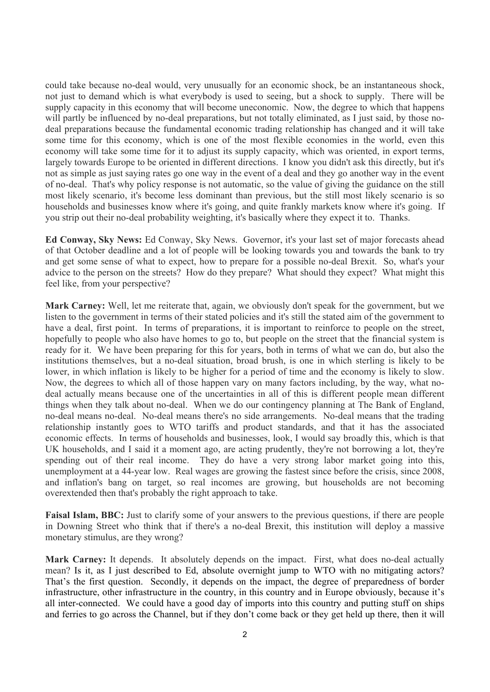could take because no-deal would, very unusually for an economic shock, be an instantaneous shock, not just to demand which is what everybody is used to seeing, but a shock to supply. There will be supply capacity in this economy that will become uneconomic. Now, the degree to which that happens will partly be influenced by no-deal preparations, but not totally eliminated, as I just said, by those nodeal preparations because the fundamental economic trading relationship has changed and it will take some time for this economy, which is one of the most flexible economies in the world, even this economy will take some time for it to adjust its supply capacity, which was oriented, in export terms, largely towards Europe to be oriented in different directions. I know you didn't ask this directly, but it's not as simple as just saying rates go one way in the event of a deal and they go another way in the event of no-deal. That's why policy response is not automatic, so the value of giving the guidance on the still most likely scenario, it's become less dominant than previous, but the still most likely scenario is so households and businesses know where it's going, and quite frankly markets know where it's going. If you strip out their no-deal probability weighting, it's basically where they expect it to. Thanks.

**Ed Conway, Sky News:** Ed Conway, Sky News. Governor, it's your last set of major forecasts ahead of that October deadline and a lot of people will be looking towards you and towards the bank to try and get some sense of what to expect, how to prepare for a possible no-deal Brexit. So, what's your advice to the person on the streets? How do they prepare? What should they expect? What might this feel like, from your perspective?

**Mark Carney:** Well, let me reiterate that, again, we obviously don't speak for the government, but we listen to the government in terms of their stated policies and it's still the stated aim of the government to have a deal, first point. In terms of preparations, it is important to reinforce to people on the street, hopefully to people who also have homes to go to, but people on the street that the financial system is ready for it. We have been preparing for this for years, both in terms of what we can do, but also the institutions themselves, but a no-deal situation, broad brush, is one in which sterling is likely to be lower, in which inflation is likely to be higher for a period of time and the economy is likely to slow. Now, the degrees to which all of those happen vary on many factors including, by the way, what nodeal actually means because one of the uncertainties in all of this is different people mean different things when they talk about no-deal. When we do our contingency planning at The Bank of England, no-deal means no-deal. No-deal means there's no side arrangements. No-deal means that the trading relationship instantly goes to WTO tariffs and product standards, and that it has the associated economic effects. In terms of households and businesses, look, I would say broadly this, which is that UK households, and I said it a moment ago, are acting prudently, they're not borrowing a lot, they're spending out of their real income. They do have a very strong labor market going into this, unemployment at a 44-year low. Real wages are growing the fastest since before the crisis, since 2008, and inflation's bang on target, so real incomes are growing, but households are not becoming overextended then that's probably the right approach to take.

**Faisal Islam, BBC:** Just to clarify some of your answers to the previous questions, if there are people in Downing Street who think that if there's a no-deal Brexit, this institution will deploy a massive monetary stimulus, are they wrong?

Mark Carney: It depends. It absolutely depends on the impact. First, what does no-deal actually mean? Is it, as I just described to Ed, absolute overnight jump to WTO with no mitigating actors? That's the first question. Secondly, it depends on the impact, the degree of preparedness of border infrastructure, other infrastructure in the country, in this country and in Europe obviously, because it's all inter-connected. We could have a good day of imports into this country and putting stuff on ships and ferries to go across the Channel, but if they don't come back or they get held up there, then it will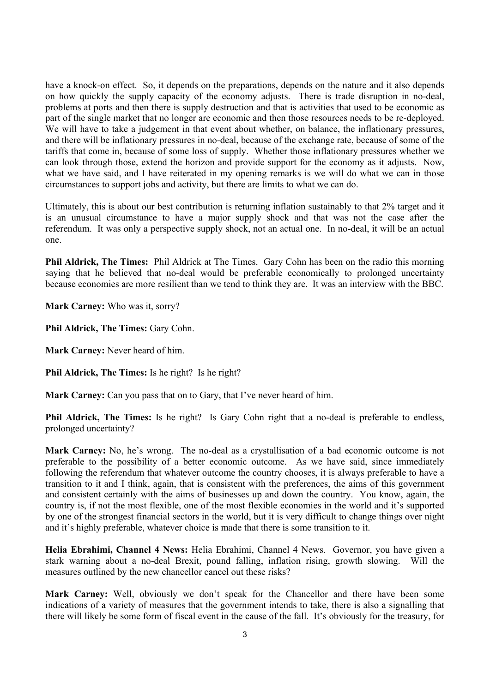have a knock-on effect. So, it depends on the preparations, depends on the nature and it also depends on how quickly the supply capacity of the economy adjusts. There is trade disruption in no-deal, problems at ports and then there is supply destruction and that is activities that used to be economic as part of the single market that no longer are economic and then those resources needs to be re-deployed. We will have to take a judgement in that event about whether, on balance, the inflationary pressures, and there will be inflationary pressures in no-deal, because of the exchange rate, because of some of the tariffs that come in, because of some loss of supply. Whether those inflationary pressures whether we can look through those, extend the horizon and provide support for the economy as it adjusts. Now, what we have said, and I have reiterated in my opening remarks is we will do what we can in those circumstances to support jobs and activity, but there are limits to what we can do.

Ultimately, this is about our best contribution is returning inflation sustainably to that 2% target and it is an unusual circumstance to have a major supply shock and that was not the case after the referendum. It was only a perspective supply shock, not an actual one. In no-deal, it will be an actual one.

**Phil Aldrick, The Times:** Phil Aldrick at The Times. Gary Cohn has been on the radio this morning saying that he believed that no-deal would be preferable economically to prolonged uncertainty because economies are more resilient than we tend to think they are. It was an interview with the BBC.

**Mark Carney:** Who was it, sorry?

**Phil Aldrick, The Times:** Gary Cohn.

**Mark Carney:** Never heard of him.

**Phil Aldrick, The Times:** Is he right? Is he right?

**Mark Carney:** Can you pass that on to Gary, that I've never heard of him.

**Phil Aldrick, The Times:** Is he right? Is Gary Cohn right that a no-deal is preferable to endless, prolonged uncertainty?

**Mark Carney:** No, he's wrong. The no-deal as a crystallisation of a bad economic outcome is not preferable to the possibility of a better economic outcome. As we have said, since immediately following the referendum that whatever outcome the country chooses, it is always preferable to have a transition to it and I think, again, that is consistent with the preferences, the aims of this government and consistent certainly with the aims of businesses up and down the country. You know, again, the country is, if not the most flexible, one of the most flexible economies in the world and it's supported by one of the strongest financial sectors in the world, but it is very difficult to change things over night and it's highly preferable, whatever choice is made that there is some transition to it.

**Helia Ebrahimi, Channel 4 News:** Helia Ebrahimi, Channel 4 News. Governor, you have given a stark warning about a no-deal Brexit, pound falling, inflation rising, growth slowing. Will the measures outlined by the new chancellor cancel out these risks?

**Mark Carney:** Well, obviously we don't speak for the Chancellor and there have been some indications of a variety of measures that the government intends to take, there is also a signalling that there will likely be some form of fiscal event in the cause of the fall. It's obviously for the treasury, for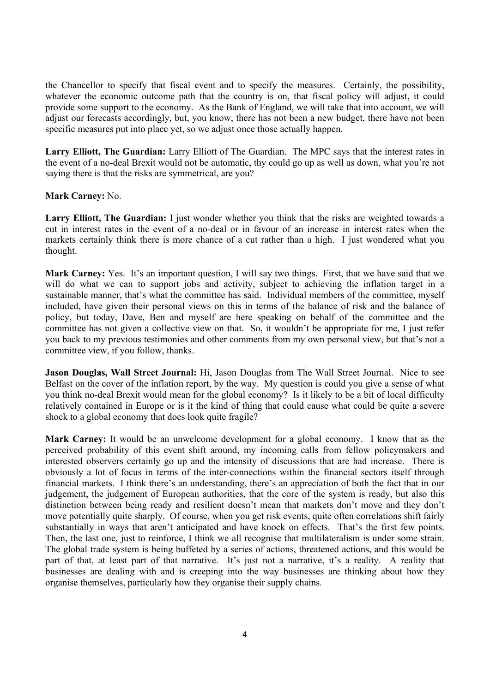the Chancellor to specify that fiscal event and to specify the measures. Certainly, the possibility, whatever the economic outcome path that the country is on, that fiscal policy will adjust, it could provide some support to the economy. As the Bank of England, we will take that into account, we will adjust our forecasts accordingly, but, you know, there has not been a new budget, there have not been specific measures put into place yet, so we adjust once those actually happen.

**Larry Elliott, The Guardian:** Larry Elliott of The Guardian. The MPC says that the interest rates in the event of a no-deal Brexit would not be automatic, thy could go up as well as down, what you're not saying there is that the risks are symmetrical, are you?

## **Mark Carney:** No.

**Larry Elliott, The Guardian:** I just wonder whether you think that the risks are weighted towards a cut in interest rates in the event of a no-deal or in favour of an increase in interest rates when the markets certainly think there is more chance of a cut rather than a high. I just wondered what you thought.

**Mark Carney:** Yes. It's an important question, I will say two things. First, that we have said that we will do what we can to support jobs and activity, subject to achieving the inflation target in a sustainable manner, that's what the committee has said. Individual members of the committee, myself included, have given their personal views on this in terms of the balance of risk and the balance of policy, but today, Dave, Ben and myself are here speaking on behalf of the committee and the committee has not given a collective view on that. So, it wouldn't be appropriate for me, I just refer you back to my previous testimonies and other comments from my own personal view, but that's not a committee view, if you follow, thanks.

**Jason Douglas, Wall Street Journal:** Hi, Jason Douglas from The Wall Street Journal. Nice to see Belfast on the cover of the inflation report, by the way. My question is could you give a sense of what you think no-deal Brexit would mean for the global economy? Is it likely to be a bit of local difficulty relatively contained in Europe or is it the kind of thing that could cause what could be quite a severe shock to a global economy that does look quite fragile?

**Mark Carney:** It would be an unwelcome development for a global economy. I know that as the perceived probability of this event shift around, my incoming calls from fellow policymakers and interested observers certainly go up and the intensity of discussions that are had increase. There is obviously a lot of focus in terms of the inter-connections within the financial sectors itself through financial markets. I think there's an understanding, there's an appreciation of both the fact that in our judgement, the judgement of European authorities, that the core of the system is ready, but also this distinction between being ready and resilient doesn't mean that markets don't move and they don't move potentially quite sharply. Of course, when you get risk events, quite often correlations shift fairly substantially in ways that aren't anticipated and have knock on effects. That's the first few points. Then, the last one, just to reinforce, I think we all recognise that multilateralism is under some strain. The global trade system is being buffeted by a series of actions, threatened actions, and this would be part of that, at least part of that narrative. It's just not a narrative, it's a reality. A reality that businesses are dealing with and is creeping into the way businesses are thinking about how they organise themselves, particularly how they organise their supply chains.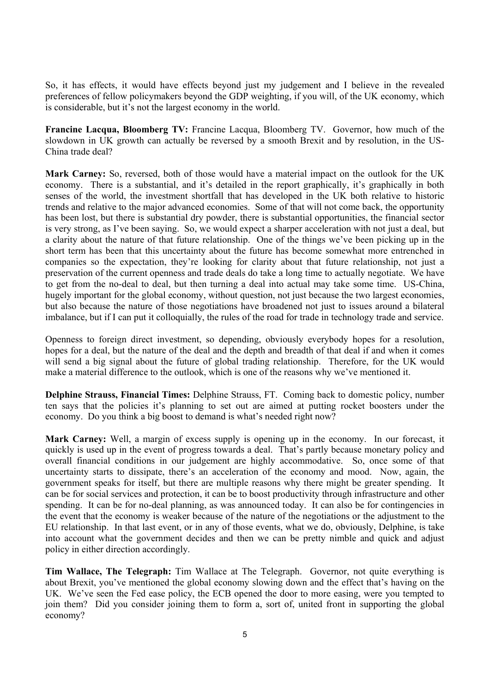So, it has effects, it would have effects beyond just my judgement and I believe in the revealed preferences of fellow policymakers beyond the GDP weighting, if you will, of the UK economy, which is considerable, but it's not the largest economy in the world.

**Francine Lacqua, Bloomberg TV:** Francine Lacqua, Bloomberg TV. Governor, how much of the slowdown in UK growth can actually be reversed by a smooth Brexit and by resolution, in the US-China trade deal?

**Mark Carney:** So, reversed, both of those would have a material impact on the outlook for the UK economy. There is a substantial, and it's detailed in the report graphically, it's graphically in both senses of the world, the investment shortfall that has developed in the UK both relative to historic trends and relative to the major advanced economies. Some of that will not come back, the opportunity has been lost, but there is substantial dry powder, there is substantial opportunities, the financial sector is very strong, as I've been saying. So, we would expect a sharper acceleration with not just a deal, but a clarity about the nature of that future relationship. One of the things we've been picking up in the short term has been that this uncertainty about the future has become somewhat more entrenched in companies so the expectation, they're looking for clarity about that future relationship, not just a preservation of the current openness and trade deals do take a long time to actually negotiate. We have to get from the no-deal to deal, but then turning a deal into actual may take some time. US-China, hugely important for the global economy, without question, not just because the two largest economies, but also because the nature of those negotiations have broadened not just to issues around a bilateral imbalance, but if I can put it colloquially, the rules of the road for trade in technology trade and service.

Openness to foreign direct investment, so depending, obviously everybody hopes for a resolution, hopes for a deal, but the nature of the deal and the depth and breadth of that deal if and when it comes will send a big signal about the future of global trading relationship. Therefore, for the UK would make a material difference to the outlook, which is one of the reasons why we've mentioned it.

**Delphine Strauss, Financial Times:** Delphine Strauss, FT. Coming back to domestic policy, number ten says that the policies it's planning to set out are aimed at putting rocket boosters under the economy. Do you think a big boost to demand is what's needed right now?

**Mark Carney:** Well, a margin of excess supply is opening up in the economy. In our forecast, it quickly is used up in the event of progress towards a deal. That's partly because monetary policy and overall financial conditions in our judgement are highly accommodative. So, once some of that uncertainty starts to dissipate, there's an acceleration of the economy and mood. Now, again, the government speaks for itself, but there are multiple reasons why there might be greater spending. It can be for social services and protection, it can be to boost productivity through infrastructure and other spending. It can be for no-deal planning, as was announced today. It can also be for contingencies in the event that the economy is weaker because of the nature of the negotiations or the adjustment to the EU relationship. In that last event, or in any of those events, what we do, obviously, Delphine, is take into account what the government decides and then we can be pretty nimble and quick and adjust policy in either direction accordingly.

**Tim Wallace, The Telegraph:** Tim Wallace at The Telegraph. Governor, not quite everything is about Brexit, you've mentioned the global economy slowing down and the effect that's having on the UK. We've seen the Fed ease policy, the ECB opened the door to more easing, were you tempted to join them? Did you consider joining them to form a, sort of, united front in supporting the global economy?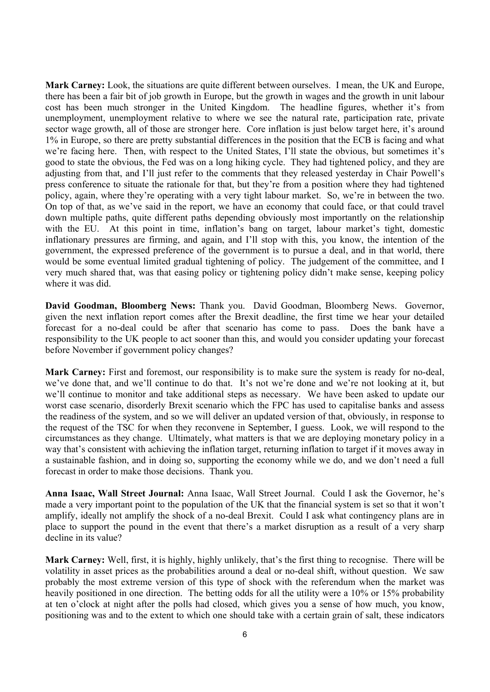**Mark Carney:** Look, the situations are quite different between ourselves. I mean, the UK and Europe, there has been a fair bit of job growth in Europe, but the growth in wages and the growth in unit labour cost has been much stronger in the United Kingdom. The headline figures, whether it's from unemployment, unemployment relative to where we see the natural rate, participation rate, private sector wage growth, all of those are stronger here. Core inflation is just below target here, it's around 1% in Europe, so there are pretty substantial differences in the position that the ECB is facing and what we're facing here. Then, with respect to the United States, I'll state the obvious, but sometimes it's good to state the obvious, the Fed was on a long hiking cycle. They had tightened policy, and they are adjusting from that, and I'll just refer to the comments that they released yesterday in Chair Powell's press conference to situate the rationale for that, but they're from a position where they had tightened policy, again, where they're operating with a very tight labour market. So, we're in between the two. On top of that, as we've said in the report, we have an economy that could face, or that could travel down multiple paths, quite different paths depending obviously most importantly on the relationship with the EU. At this point in time, inflation's bang on target, labour market's tight, domestic inflationary pressures are firming, and again, and I'll stop with this, you know, the intention of the government, the expressed preference of the government is to pursue a deal, and in that world, there would be some eventual limited gradual tightening of policy. The judgement of the committee, and I very much shared that, was that easing policy or tightening policy didn't make sense, keeping policy where it was did.

**David Goodman, Bloomberg News:** Thank you. David Goodman, Bloomberg News. Governor, given the next inflation report comes after the Brexit deadline, the first time we hear your detailed forecast for a no-deal could be after that scenario has come to pass. Does the bank have a responsibility to the UK people to act sooner than this, and would you consider updating your forecast before November if government policy changes?

**Mark Carney:** First and foremost, our responsibility is to make sure the system is ready for no-deal, we've done that, and we'll continue to do that. It's not we're done and we're not looking at it, but we'll continue to monitor and take additional steps as necessary. We have been asked to update our worst case scenario, disorderly Brexit scenario which the FPC has used to capitalise banks and assess the readiness of the system, and so we will deliver an updated version of that, obviously, in response to the request of the TSC for when they reconvene in September, I guess. Look, we will respond to the circumstances as they change. Ultimately, what matters is that we are deploying monetary policy in a way that's consistent with achieving the inflation target, returning inflation to target if it moves away in a sustainable fashion, and in doing so, supporting the economy while we do, and we don't need a full forecast in order to make those decisions. Thank you.

**Anna Isaac, Wall Street Journal:** Anna Isaac, Wall Street Journal. Could I ask the Governor, he's made a very important point to the population of the UK that the financial system is set so that it won't amplify, ideally not amplify the shock of a no-deal Brexit. Could I ask what contingency plans are in place to support the pound in the event that there's a market disruption as a result of a very sharp decline in its value?

**Mark Carney:** Well, first, it is highly, highly unlikely, that's the first thing to recognise. There will be volatility in asset prices as the probabilities around a deal or no-deal shift, without question. We saw probably the most extreme version of this type of shock with the referendum when the market was heavily positioned in one direction. The betting odds for all the utility were a 10% or 15% probability at ten o'clock at night after the polls had closed, which gives you a sense of how much, you know, positioning was and to the extent to which one should take with a certain grain of salt, these indicators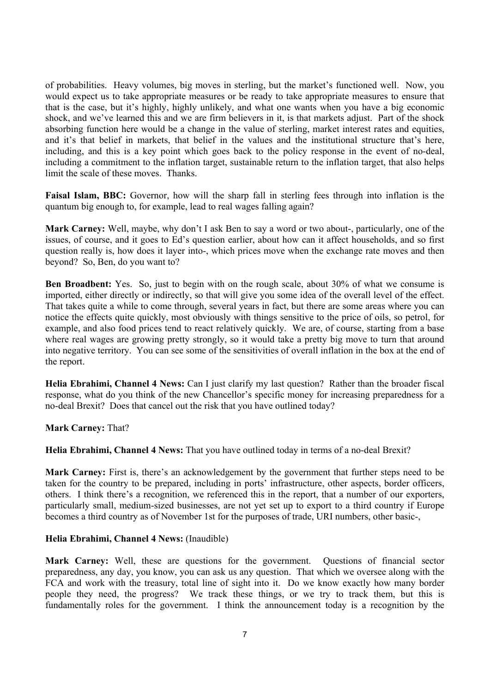of probabilities. Heavy volumes, big moves in sterling, but the market's functioned well. Now, you would expect us to take appropriate measures or be ready to take appropriate measures to ensure that that is the case, but it's highly, highly unlikely, and what one wants when you have a big economic shock, and we've learned this and we are firm believers in it, is that markets adjust. Part of the shock absorbing function here would be a change in the value of sterling, market interest rates and equities, and it's that belief in markets, that belief in the values and the institutional structure that's here, including, and this is a key point which goes back to the policy response in the event of no-deal, including a commitment to the inflation target, sustainable return to the inflation target, that also helps limit the scale of these moves. Thanks.

**Faisal Islam, BBC:** Governor, how will the sharp fall in sterling fees through into inflation is the quantum big enough to, for example, lead to real wages falling again?

**Mark Carney:** Well, maybe, why don't I ask Ben to say a word or two about-, particularly, one of the issues, of course, and it goes to Ed's question earlier, about how can it affect households, and so first question really is, how does it layer into-, which prices move when the exchange rate moves and then beyond? So, Ben, do you want to?

Ben Broadbent: Yes. So, just to begin with on the rough scale, about 30% of what we consume is imported, either directly or indirectly, so that will give you some idea of the overall level of the effect. That takes quite a while to come through, several years in fact, but there are some areas where you can notice the effects quite quickly, most obviously with things sensitive to the price of oils, so petrol, for example, and also food prices tend to react relatively quickly. We are, of course, starting from a base where real wages are growing pretty strongly, so it would take a pretty big move to turn that around into negative territory. You can see some of the sensitivities of overall inflation in the box at the end of the report.

**Helia Ebrahimi, Channel 4 News:** Can I just clarify my last question? Rather than the broader fiscal response, what do you think of the new Chancellor's specific money for increasing preparedness for a no-deal Brexit? Does that cancel out the risk that you have outlined today?

# **Mark Carney:** That?

**Helia Ebrahimi, Channel 4 News:** That you have outlined today in terms of a no-deal Brexit?

**Mark Carney:** First is, there's an acknowledgement by the government that further steps need to be taken for the country to be prepared, including in ports' infrastructure, other aspects, border officers, others. I think there's a recognition, we referenced this in the report, that a number of our exporters, particularly small, medium-sized businesses, are not yet set up to export to a third country if Europe becomes a third country as of November 1st for the purposes of trade, URI numbers, other basic-,

## **Helia Ebrahimi, Channel 4 News:** (Inaudible)

**Mark Carney:** Well, these are questions for the government. Questions of financial sector preparedness, any day, you know, you can ask us any question. That which we oversee along with the FCA and work with the treasury, total line of sight into it. Do we know exactly how many border people they need, the progress? We track these things, or we try to track them, but this is fundamentally roles for the government. I think the announcement today is a recognition by the